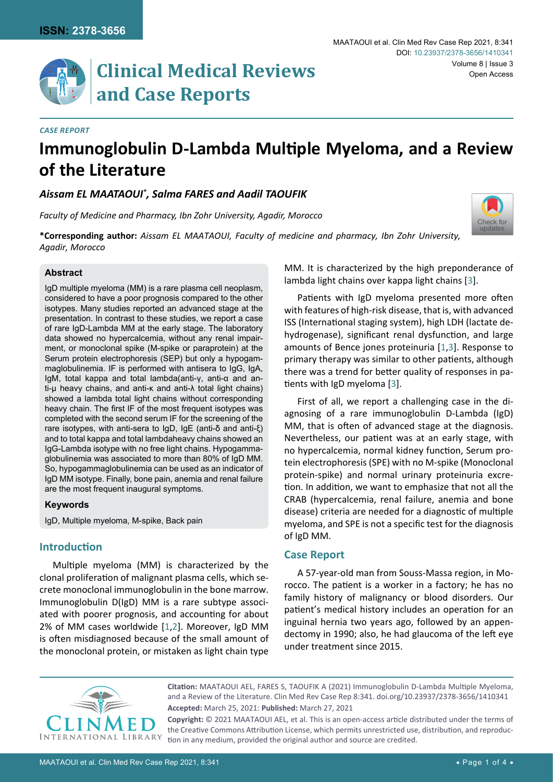

#### *Case Report*

# **Immunoglobulin D-Lambda Multiple Myeloma, and a Review of the Literature**

# *Aissam EL MAATAOUI\* , Salma FARES and Aadil TAOUFIK*

*Faculty of Medicine and Pharmacy, Ibn Zohr University, Agadir, Morocco*



**\*Corresponding author:** *Aissam EL MAATAOUI, Faculty of medicine and pharmacy, Ibn Zohr University, Agadir, Morocco*

#### **Abstract**

IgD multiple myeloma (MM) is a rare plasma cell neoplasm, considered to have a poor prognosis compared to the other isotypes. Many studies reported an advanced stage at the presentation. In contrast to these studies, we report a case of rare IgD-Lambda MM at the early stage. The laboratory data showed no hypercalcemia, without any renal impairment, or monoclonal spike (M-spike or paraprotein) at the Serum protein electrophoresis (SEP) but only a hypogammaglobulinemia. IF is performed with antisera to IgG, IgA, IgM, total kappa and total lambda(anti-γ, anti-α and anti-µ heavy chains, and anti-κ and anti-λ total light chains) showed a lambda total light chains without corresponding heavy chain. The first IF of the most frequent isotypes was completed with the second serum IF for the screening of the rare isotypes, with anti-sera to IgD, IgE (anti-δ and anti-ξ) and to total kappa and total lambdaheavy chains showed an IgG-Lambda isotype with no free light chains. Hypogammaglobulinemia was associated to more than 80% of IgD MM. So, hypogammaglobulinemia can be used as an indicator of IgD MM isotype. Finally, bone pain, anemia and renal failure are the most frequent inaugural symptoms.

#### **Keywords**

IgD, Multiple myeloma, M-spike, Back pain

## **Introduction**

Multiple myeloma (MM) is characterized by the clonal proliferation of malignant plasma cells, which secrete monoclonal immunoglobulin in the bone marrow. Immunoglobulin D(IgD) MM is a rare subtype associated with poorer prognosis, and accounting for about 2% of MM cases worldwide [[1,](#page-2-1)[2](#page-2-2)]. Moreover, IgD MM is often misdiagnosed because of the small amount of the monoclonal protein, or mistaken as light chain type

MM. It is characterized by the high preponderance of lambda light chains over kappa light chains [\[3](#page-2-0)].

Patients with IgD myeloma presented more often with features of high-risk disease, that is, with advanced ISS (International staging system), high LDH (lactate dehydrogenase), significant renal dysfunction, and large amounts of Bence jones proteinuria [[1](#page-2-1),[3](#page-2-0)]. Response to primary therapy was similar to other patients, although there was a trend for better quality of responses in patients with IgD myeloma [\[3\]](#page-2-0).

First of all, we report a challenging case in the diagnosing of a rare immunoglobulin D-Lambda (IgD) MM, that is often of advanced stage at the diagnosis. Nevertheless, our patient was at an early stage, with no hypercalcemia, normal kidney function, Serum protein electrophoresis (SPE) with no M-spike (Monoclonal protein-spike) and normal urinary proteinuria excretion. In addition, we want to emphasize that not all the CRAB (hypercalcemia, renal failure, anemia and bone disease) criteria are needed for a diagnostic of multiple myeloma, and SPE is not a specific test for the diagnosis of IgD MM.

### **Case Report**

A 57-year-old man from Souss-Massa region, in Morocco. The patient is a worker in a factory; he has no family history of malignancy or blood disorders. Our patient's medical history includes an operation for an inguinal hernia two years ago, followed by an appendectomy in 1990; also, he had glaucoma of the left eye under treatment since 2015.



**Accepted:** March 25, 2021: **Published:** March 27, 2021 **Citation:** MAATAOUI AEL, FARES S, TAOUFIK A (2021) Immunoglobulin D-Lambda Multiple Myeloma, and a Review of the Literature. Clin Med Rev Case Rep 8:341. [doi.org/10.23937/2378-3656/1410341](https://doi.org/10.23937/2378-3656/1410341)

**Copyright:** © 2021 MAATAOUI AEL, et al. This is an open-access article distributed under the terms of the Creative Commons Attribution License, which permits unrestricted use, distribution, and reproduction in any medium, provided the original author and source are credited.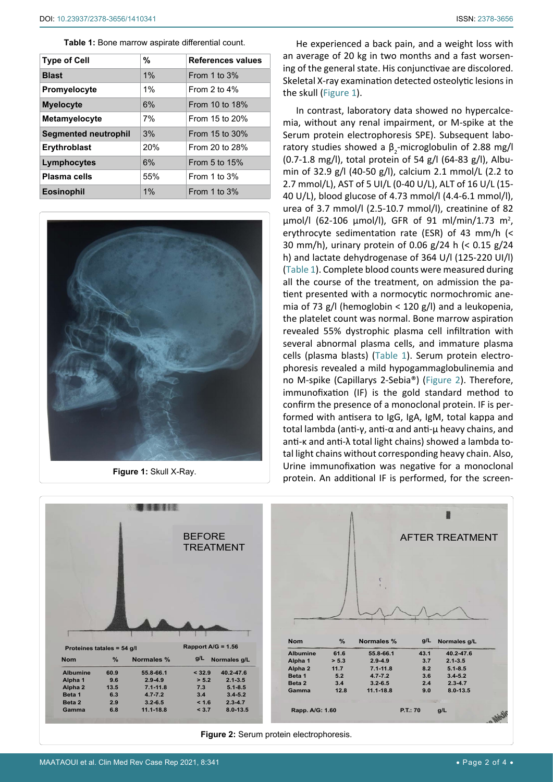<span id="page-1-1"></span>**Table 1:** Bone marrow aspirate differential count.

| <b>Type of Cell</b>         | %     | References values |
|-----------------------------|-------|-------------------|
| <b>Blast</b>                | 1%    | From 1 to $3%$    |
| Promyelocyte                | $1\%$ | From $2$ to $4\%$ |
| <b>Myelocyte</b>            | 6%    | From 10 to 18%    |
| <b>Metamyelocyte</b>        | 7%    | From 15 to 20%    |
| <b>Segmented neutrophil</b> | 3%    | From 15 to 30%    |
| <b>Erythroblast</b>         | 20%   | From 20 to 28%    |
| Lymphocytes                 | 6%    | From 5 to $15%$   |
| Plasma cells                | 55%   | From 1 to $3%$    |
| <b>Eosinophil</b>           | 1%    | From 1 to $3%$    |

<span id="page-1-0"></span>

**Figure 1:** Skull X-Ray.

He experienced a back pain, and a weight loss with an average of 20 kg in two months and a fast worsening of the general state. His conjunctivae are discolored. Skeletal X-ray examination detected osteolytic lesions in the skull [\(Figure 1](#page-1-0)).

In contrast, laboratory data showed no hypercalcemia, without any renal impairment, or M-spike at the Serum protein electrophoresis SPE). Subsequent laboratory studies showed a  $\beta_2$ -microglobulin of 2.88 mg/l (0.7-1.8 mg/l), total protein of 54 g/l (64-83 g/l), Albumin of 32.9 g/l (40-50 g/l), calcium 2.1 mmol/L (2.2 to 2.7 mmol/L), AST of 5 UI/L (0-40 U/L), ALT of 16 U/L (15- 40 U/L), blood glucose of 4.73 mmol/l (4.4-6.1 mmol/l), urea of 3.7 mmol/l (2.5-10.7 mmol/l), creatinine of 82  $\mu$ mol/l (62-106  $\mu$ mol/l), GFR of 91 ml/min/1.73 m<sup>2</sup>, erythrocyte sedimentation rate (ESR) of 43 mm/h (< 30 mm/h), urinary protein of 0.06 g/24 h (< 0.15 g/24 h) and lactate dehydrogenase of 364 U/l (125-220 UI/l) ([Table 1\)](#page-1-1). Complete blood counts were measured during all the course of the treatment, on admission the patient presented with a normocytic normochromic anemia of 73 g/l (hemoglobin < 120 g/l) and a leukopenia, the platelet count was normal. Bone marrow aspiration revealed 55% dystrophic plasma cell infiltration with several abnormal plasma cells, and immature plasma cells (plasma blasts) [\(Table 1](#page-1-1)). Serum protein electrophoresis revealed a mild hypogammaglobulinemia and no M-spike (Capillarys 2-Sebia®) ([Figure 2\)](#page-1-2). Therefore, immunofixation (IF) is the gold standard method to confirm the presence of a monoclonal protein. IF is performed with antisera to IgG, IgA, IgM, total kappa and total lambda (anti-γ, anti-α and anti-µ heavy chains, and anti-κ and anti-λ total light chains) showed a lambda total light chains without corresponding heavy chain. Also, Urine immunofixation was negative for a monoclonal protein. An additional IF is performed, for the screen-

<span id="page-1-2"></span>

**Figure 2:** Serum protein electrophoresis.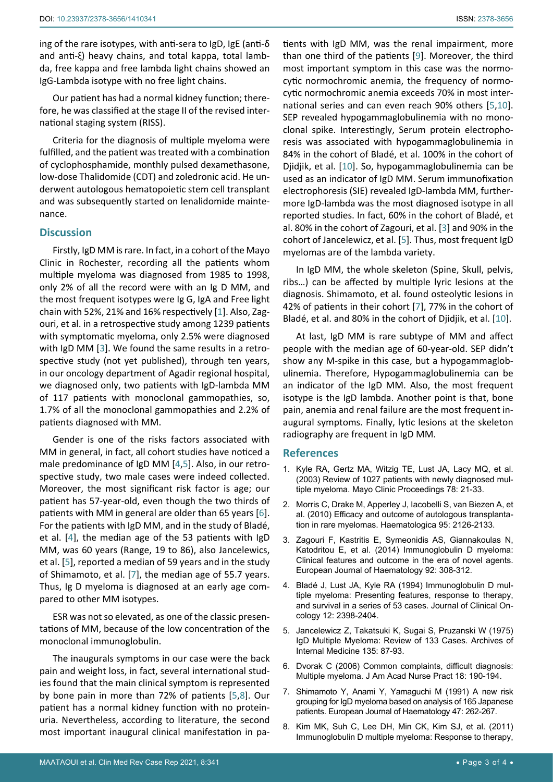ing of the rare isotypes, with anti-sera to IgD, IgE (anti-δ and anti-ξ) heavy chains, and total kappa, total lambda, free kappa and free lambda light chains showed an IgG-Lambda isotype with no free light chains.

Our patient has had a normal kidney function; therefore, he was classified at the stage II of the revised international staging system (RISS).

Criteria for the diagnosis of multiple myeloma were fulfilled, and the patient was treated with a combination of cyclophosphamide, monthly pulsed dexamethasone, low-dose Thalidomide (CDT) and zoledronic acid. He underwent autologous hematopoietic stem cell transplant and was subsequently started on lenalidomide maintenance.

# **Discussion**

Firstly, IgD MM is rare. In fact, in a cohort of the Mayo Clinic in Rochester, recording all the patients whom multiple myeloma was diagnosed from 1985 to 1998, only 2% of all the record were with an Ig D MM, and the most frequent isotypes were Ig G, IgA and Free light chain with 52%, 21% and 16% respectively [[1](#page-2-1)]. Also, Zagouri, et al. in a retrospective study among 1239 patients with symptomatic myeloma, only 2.5% were diagnosed with IgD MM [\[3\]](#page-2-0). We found the same results in a retrospective study (not yet published), through ten years, in our oncology department of Agadir regional hospital, we diagnosed only, two patients with IgD-lambda MM of 117 patients with monoclonal gammopathies, so, 1.7% of all the monoclonal gammopathies and 2.2% of patients diagnosed with MM.

Gender is one of the risks factors associated with MM in general, in fact, all cohort studies have noticed a male predominance of IgD MM [[4](#page-2-5),[5](#page-2-3)]. Also, in our retrospective study, two male cases were indeed collected. Moreover, the most significant risk factor is age; our patient has 57-year-old, even though the two thirds of patients with MM in general are older than 65 years [[6](#page-2-6)]. For the patients with IgD MM, and in the study of Bladé, et al. [\[4\]](#page-2-5), the median age of the 53 patients with IgD MM, was 60 years (Range, 19 to 86), also Jancelewics, et al. [[5](#page-2-3)], reported a median of 59 years and in the study of Shimamoto, et al. [[7](#page-2-4)], the median age of 55.7 years. Thus, Ig D myeloma is diagnosed at an early age compared to other MM isotypes.

ESR was not so elevated, as one of the classic presentations of MM, because of the low concentration of the monoclonal immunoglobulin.

The inaugurals symptoms in our case were the back pain and weight loss, in fact, several international studies found that the main clinical symptom is represented by bone pain in more than 72% of patients [[5](#page-2-3),[8\]](#page-2-7). Our patient has a normal kidney function with no proteinuria. Nevertheless, according to literature, the second most important inaugural clinical manifestation in patients with IgD MM, was the renal impairment, more than one third of the patients [\[9\]](#page-3-0). Moreover, the third most important symptom in this case was the normocytic normochromic anemia, the frequency of normocytic normochromic anemia exceeds 70% in most international series and can even reach 90% others [[5](#page-2-3)[,10](#page-3-1)]. SEP revealed hypogammaglobulinemia with no monoclonal spike. Interestingly, Serum protein electrophoresis was associated with hypogammaglobulinemia in 84% in the cohort of Bladé, et al. 100% in the cohort of Djidjik, et al. [[10](#page-3-1)]. So, hypogammaglobulinemia can be used as an indicator of IgD MM. Serum immunofixation electrophoresis (SIE) revealed IgD-lambda MM, furthermore IgD-lambda was the most diagnosed isotype in all reported studies. In fact, 60% in the cohort of Bladé, et al. 80% in the cohort of Zagouri, et al. [[3](#page-2-0)] and 90% in the cohort of Jancelewicz, et al. [[5](#page-2-3)]. Thus, most frequent IgD myelomas are of the lambda variety.

In IgD MM, the whole skeleton (Spine, Skull, pelvis, ribs…) can be affected by multiple lyric lesions at the diagnosis. Shimamoto, et al. found osteolytic lesions in 42% of patients in their cohort [[7](#page-2-4)], 77% in the cohort of Bladé, et al. and 80% in the cohort of Djidjik, et al. [[10](#page-3-1)].

At last, IgD MM is rare subtype of MM and affect people with the median age of 60-year-old. SEP didn't show any M-spike in this case, but a hypogammaglobulinemia. Therefore, Hypogammaglobulinemia can be an indicator of the IgD MM. Also, the most frequent isotype is the IgD lambda. Another point is that, bone pain, anemia and renal failure are the most frequent inaugural symptoms. Finally, lytic lesions at the skeleton radiography are frequent in IgD MM.

## **References**

- <span id="page-2-1"></span>1. [Kyle RA, Gertz MA, Witzig TE, Lust JA, Lacy MQ, et al.](https://pubmed.ncbi.nlm.nih.gov/12528874/)  [\(2003\) Review of 1027 patients with newly diagnosed mul](https://pubmed.ncbi.nlm.nih.gov/12528874/)[tiple myeloma. Mayo Clinic Proceedings 78: 21-33.](https://pubmed.ncbi.nlm.nih.gov/12528874/)
- <span id="page-2-2"></span>2. [Morris C, Drake M, Apperley J, Iacobelli S, van Biezen A, et](https://www.haematologica.org/article/view/5822)  [al. \(2010\) Efficacy and outcome of autologous transplanta](https://www.haematologica.org/article/view/5822)[tion in rare myelomas. Haematologica 95: 2126-2133.](https://www.haematologica.org/article/view/5822)
- <span id="page-2-0"></span>3. [Zagouri F, Kastritis E, Symeonidis AS, Giannakoulas N,](https://onlinelibrary.wiley.com/doi/abs/10.1111/ejh.12255)  [Katodritou E, et al. \(2014\) Immunoglobulin D myeloma:](https://onlinelibrary.wiley.com/doi/abs/10.1111/ejh.12255)  [Clinical features and outcome in the era of novel agents.](https://onlinelibrary.wiley.com/doi/abs/10.1111/ejh.12255)  [European Journal of Haematology 92: 308-312.](https://onlinelibrary.wiley.com/doi/abs/10.1111/ejh.12255)
- <span id="page-2-5"></span>4. [Bladé J, Lust JA, Kyle RA \(1994\) Immunoglobulin D mul](https://pubmed.ncbi.nlm.nih.gov/7964956/)[tiple myeloma: Presenting features, response to therapy,](https://pubmed.ncbi.nlm.nih.gov/7964956/)  [and survival in a series of 53 cases. Journal of Clinical On](https://pubmed.ncbi.nlm.nih.gov/7964956/)[cology 12: 2398-2404.](https://pubmed.ncbi.nlm.nih.gov/7964956/)
- <span id="page-2-3"></span>5. [Jancelewicz Z, Takatsuki K, Sugai S, Pruzanski W \(1975\)](https://pubmed.ncbi.nlm.nih.gov/1111472/)  [IgD Multiple Myeloma: Review of 133 Cases. Archives of](https://pubmed.ncbi.nlm.nih.gov/1111472/)  [Internal Medicine 135: 87-93.](https://pubmed.ncbi.nlm.nih.gov/1111472/)
- <span id="page-2-6"></span>6. [Dvorak C \(2006\) Common complaints, difficult diagnosis:](https://pubmed.ncbi.nlm.nih.gov/16681705/)  [Multiple myeloma. J Am Acad Nurse Pract 18: 190-194.](https://pubmed.ncbi.nlm.nih.gov/16681705/)
- <span id="page-2-4"></span>7. [Shimamoto Y, Anami Y, Yamaguchi M \(1991\) A new risk](https://onlinelibrary.wiley.com/doi/abs/10.1111/j.1600-0609.1991.tb01569.x)  [grouping for IgD myeloma based on analysis of 165 Japanese](https://onlinelibrary.wiley.com/doi/abs/10.1111/j.1600-0609.1991.tb01569.x)  [patients. European Journal of Haematology 47: 262-267.](https://onlinelibrary.wiley.com/doi/abs/10.1111/j.1600-0609.1991.tb01569.x)
- <span id="page-2-7"></span>8. [Kim MK, Suh C, Lee DH, Min CK, Kim SJ, et al. \(2011\)](https://pubmed.ncbi.nlm.nih.gov/20682550/)  [Immunoglobulin D multiple myeloma: Response to therapy,](https://pubmed.ncbi.nlm.nih.gov/20682550/)